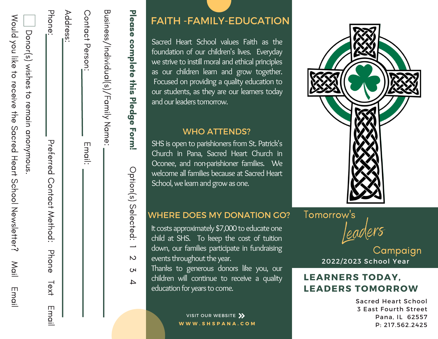|                                      | $\overline{\phantom{0}}$                                      |           |  |
|--------------------------------------|---------------------------------------------------------------|-----------|--|
| Business//hdudl(s)/Family Name:      |                                                               |           |  |
|                                      |                                                               |           |  |
| Contact Ferson:                      | Email:                                                        |           |  |
|                                      |                                                               |           |  |
| Address:                             |                                                               |           |  |
| Phone:                               | Preferred Contact Method: Phone Iext Innai                    |           |  |
|                                      |                                                               |           |  |
| Donor(s) wishes to remain anonymous. |                                                               |           |  |
|                                      | World you like to teceive the Sacred Heart School Newsletter? | Mail Emai |  |

### FAITH - FAMILY-EDUCATION

Sacred Heart School values Faith as the foundation of our children's lives. Everyday we strive to instill moral and ethical principles as our children learn and grow together. Focused on providing a quality education to our students, as they are our learners today and our leaders tomorrow. **EXECT TH - FAMILY-E**<br>
Sacred Heart School value<br>
foundation of our children's<br>
we strive to instill moral and<br>
as our children learn and<br>
Focused on providing a qua<br>
our students, as they are ou<br>
and our leaders tomorrow.

#### WHO ATTENDS?

SHS is open to parishioners from St. Patrick's Church in Pana, Sacred Heart Church in Oconee, and non-parishioner families. We welcome all families because at Sacred Heart School, we learn and grow as one.

### WHERE DOES MY DONATION GO?

It costs approximately \$7,000 to educate one child at SHS. To keep the cost of tuition down, our families participate in fundraising events throughout the year.

Thanks to generous donors like you, our children will continue to receive a quality

> VISIT OUR WEBSITE **W W W . S H S P A N A . C O M**



w's<br>Leaders

2022/2023 School Year Campaign

### LEARNERS TODAY, LEADERS TOMORROW

Sacred Heart School 3 East Fourth Street Pana, IL 62557 P: 217.562.2425